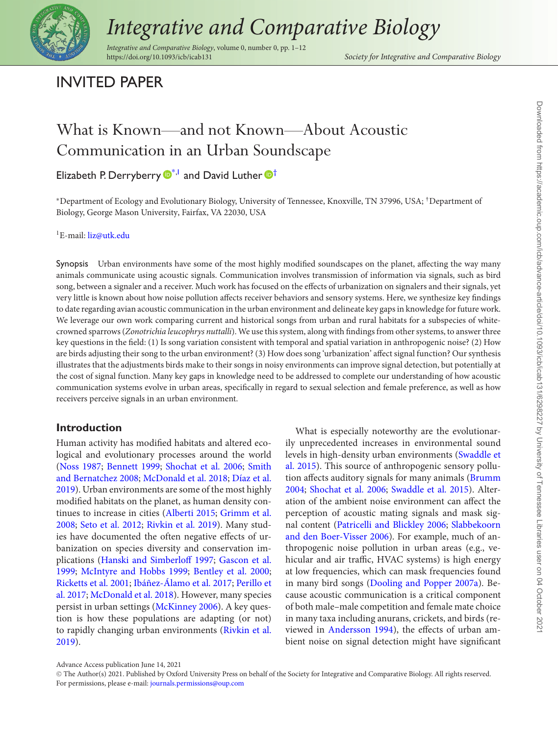

# *Integrative and Comparative Biology*

*Integrative and Comparative Biology*, volume 0, number 0, pp. 1–12

# INVITED PAPER

# What is Known—and not Known—About Acoustic Communication in an Urban Soundscape

# Elizabeth P. Derryberry  $\mathbb{D}^{*,1}$  $\mathbb{D}^{*,1}$  $\mathbb{D}^{*,1}$  $\mathbb{D}^{*,1}$  and David Luther  $\mathbb{D}^{\dagger}$

<span id="page-0-0"></span><sup>∗</sup>Department of Ecology and Evolutionary Biology, University of Tennessee, Knoxville, TN 37996, USA; †Department of Biology, George Mason University, Fairfax, VA 22030, USA

<span id="page-0-1"></span><sup>1</sup>E-mail: [liz@utk.edu](mailto:liz@utk.edu)

Synopsis Urban environments have some of the most highly modified soundscapes on the planet, affecting the way many animals communicate using acoustic signals. Communication involves transmission of information via signals, such as bird song, between a signaler and a receiver. Much work has focused on the effects of urbanization on signalers and their signals, yet very little is known about how noise pollution affects receiver behaviors and sensory systems. Here, we synthesize key findings to date regarding avian acoustic communication in the urban environment and delineate key gaps in knowledge for future work. We leverage our own work comparing current and historical songs from urban and rural habitats for a subspecies of whitecrowned sparrows (*Zonotrichia leucophrys nuttalli*). We use this system, along with findings from other systems, to answer three key questions in the field: (1) Is song variation consistent with temporal and spatial variation in anthropogenic noise? (2) How are birds adjusting their song to the urban environment? (3) How does song 'urbanization' affect signal function? Our synthesis illustrates that the adjustments birds make to their songs in noisy environments can improve signal detection, but potentially at the cost of signal function. Many key gaps in knowledge need to be addressed to complete our understanding of how acoustic communication systems evolve in urban areas, specifically in regard to sexual selection and female preference, as well as how receivers perceive signals in an urban environment.

#### **Introduction**

Human activity has modified habitats and altered ecological and evolutionary processes around the world [\(Noss 1987;](#page-10-0) [Bennett 1999;](#page-8-0) [Shochat et al. 2006;](#page-11-0) Smith and Bernatchez 2008; [McDonald et al. 2018;](#page-11-1) Díaz et al. [2019\). Urban environments are some of the most highly](#page-9-0) modified habitats on the planet, as human density con[tinues to increase in cities \(](#page-9-1)[Alberti 2015](#page-8-1)[;](#page-9-1) Grimm et al. 2008; [Seto et al. 2012;](#page-11-2) [Rivkin et al. 2019\)](#page-11-3). Many studies have documented the often negative effects of urbanization on species diversity and conservation im[plications \(](#page-9-2)[Hanski and Simberloff 1997](#page-10-2)[;](#page-9-2) Gascon et al. 1999; [McIntyre and Hobbs 1999;](#page-10-3) [Bentley et al. 2000;](#page-8-2) [Ricketts et al. 2001;](#page-11-4) [Ibáñez-Álamo et al. 2017;](#page-10-4) Perillo et al. 2017; [McDonald et al. 2018\). However, many species](#page-10-5) persist in urban settings [\(McKinney 2006\)](#page-10-6). A key question is how these populations are adapting (or not) [to rapidly changing urban environments \(Rivkin et al.](#page-11-3) 2019).

<span id="page-0-2"></span>What is especially noteworthy are the evolutionarily unprecedented increases in environmental sound [levels in high-density urban environments \(Swaddle et](#page-11-5) al. 2015). This source of anthropogenic sensory pollu[tion affects auditory signals for many animals \(Brumm](#page-9-3) 2004; [Shochat et al. 2006;](#page-11-0) [Swaddle et al. 2015\)](#page-11-5). Alteration of the ambient noise environment can affect the perception of acoustic mating signals and mask signal content [\(Patricelli and Blickley 2006;](#page-10-7) Slabbekoorn [and den Boer-Visser 2006\). For example, much of an](#page-11-6)thropogenic noise pollution in urban areas (e.g., vehicular and air traffic, HVAC systems) is high energy at low frequencies, which can mask frequencies found in many bird songs [\(Dooling and Popper 2007a\)](#page-9-4). Because acoustic communication is a critical component of both male–male competition and female mate choice in many taxa including anurans, crickets, and birds (reviewed in [Andersson 1994\)](#page-8-3), the effects of urban ambient noise on signal detection might have significant

Advance Access publication June 14, 2021

<sup>C</sup> The Author(s) 2021. Published by Oxford University Press on behalf of the Society for Integrative and Comparative Biology. All rights reserved. For permissions, please e-mail: [journals.permissions@oup.com](mailto:journals.permissions@oup.com)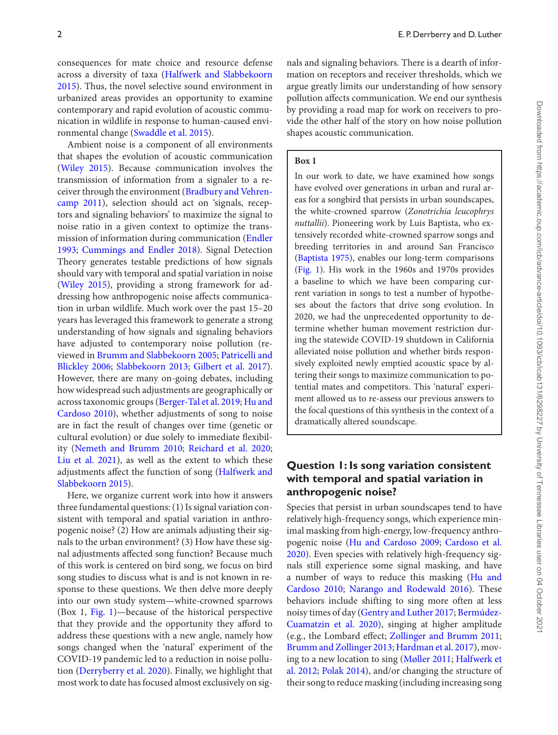consequences for mate choice and resource defense across a diversity of taxa (Halfwerk and Slabbekoorn [2015\). Thus, the novel selective sound environment in](#page-9-5) urbanized areas provides an opportunity to examine contemporary and rapid evolution of acoustic communication in wildlife in response to human-caused environmental change [\(Swaddle et al. 2015\)](#page-11-5).

Ambient noise is a component of all environments that shapes the evolution of acoustic communication [\(Wiley 2015\)](#page-11-7). Because communication involves the transmission of information from a signaler to a re[ceiver through the environment \(Bradbury and Vehren](#page-9-6)camp 2011), selection should act on 'signals, receptors and signaling behaviors' to maximize the signal to noise ratio in a given context to optimize the trans[mission of information during communication \(Endler](#page-9-7) 1993; [Cummings and Endler 2018\)](#page-9-8). Signal Detection Theory generates testable predictions of how signals should vary with temporal and spatial variation in noise [\(Wiley 2015\)](#page-11-7), providing a strong framework for addressing how anthropogenic noise affects communication in urban wildlife. Much work over the past 15–20 years has leveraged this framework to generate a strong understanding of how signals and signaling behaviors have adjusted to contemporary noise pollution (reviewed in [Brumm and Slabbekoorn 2005](#page-9-9)[;](#page-10-7) Patricelli and Blickley 2006; [Slabbekoorn 2013;](#page-11-8) [Gilbert et al. 2017\)](#page-9-10). However, there are many on-going debates, including how widespread such adjustments are geographically or across taxonomic groups [\(Berger-Tal et al. 2019;](#page-8-4) Hu and [Cardoso 2010\), whether adjustments of song to noise](#page-10-8) are in fact the result of changes over time (genetic or cultural evolution) or due solely to immediate flexibility [\(Nemeth and Brumm 2010;](#page-10-9) [Reichard et al. 2020;](#page-10-10) [Liu et al. 2021\)](#page-10-11), as well as the extent to which these [adjustments affect the function of song \(Halfwerk and](#page-9-5) Slabbekoorn 2015).

Here, we organize current work into how it answers three fundamental questions: (1) Is signal variation consistent with temporal and spatial variation in anthropogenic noise? (2) How are animals adjusting their signals to the urban environment? (3) How have these signal adjustments affected song function? Because much of this work is centered on bird song, we focus on bird song studies to discuss what is and is not known in response to these questions. We then delve more deeply into our own study system—white-crowned sparrows (Box 1, [Fig. 1\)](#page-2-0)—because of the historical perspective that they provide and the opportunity they afford to address these questions with a new angle, namely how songs changed when the 'natural' experiment of the COVID-19 pandemic led to a reduction in noise pollution [\(Derryberry et al. 2020\)](#page-9-11). Finally, we highlight that most work to date has focused almost exclusively on signals and signaling behaviors. There is a dearth of information on receptors and receiver thresholds, which we argue greatly limits our understanding of how sensory pollution affects communication. We end our synthesis by providing a road map for work on receivers to provide the other half of the story on how noise pollution shapes acoustic communication.

#### **Box 1**

In our work to date, we have examined how songs have evolved over generations in urban and rural areas for a songbird that persists in urban soundscapes, the white-crowned sparrow (*Zonotrichia leucophrys nuttallii*). Pioneering work by Luis Baptista, who extensively recorded white-crowned sparrow songs and breeding territories in and around San Francisco [\(Baptista 1975\)](#page-8-5), enables our long-term comparisons [\(Fig. 1\)](#page-2-0). His work in the 1960s and 1970s provides a baseline to which we have been comparing current variation in songs to test a number of hypotheses about the factors that drive song evolution. In 2020, we had the unprecedented opportunity to determine whether human movement restriction during the statewide COVID-19 shutdown in California alleviated noise pollution and whether birds responsively exploited newly emptied acoustic space by altering their songs to maximize communication to potential mates and competitors. This 'natural' experiment allowed us to re-assess our previous answers to the focal questions of this synthesis in the context of a dramatically altered soundscape.

# **Question 1: Is song variation consistent with temporal and spatial variation in anthropogenic noise?**

Species that persist in urban soundscapes tend to have relatively high-frequency songs, which experience minimal masking from high-energy, low-frequency anthropogenic noise [\(Hu and Cardoso 2009;](#page-10-12) Cardoso et al. [2020\). Even species with relatively high-frequency sig](#page-9-12)nals still experience some signal masking, and have [a number of ways to reduce this masking \(Hu and](#page-10-8) Cardoso 2010; [Narango and Rodewald 2016\)](#page-10-13). These behaviors include shifting to sing more often at less noisy times of day [\(Gentry and Luther 2017;](#page-9-13) Bermúdez-[Cuamatzin et al. 2020\), singing at higher amplitude](#page-8-6) (e.g., the Lombard effect; [Zollinger and Brumm 2011;](#page-11-9) [Brumm and Zollinger 2013;](#page-9-14) [Hardman et al. 2017\)](#page-10-14), moving to a new location to sing [\(Møller 2011;](#page-10-15) Halfwerk et al. 2012; [Polak 2014\), and/or changing the structure of](#page-9-15) their song to reduce masking (including increasing song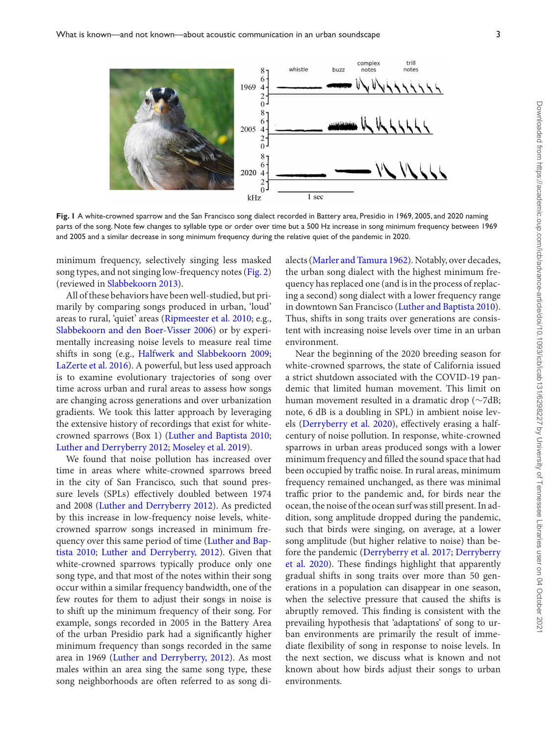<span id="page-2-0"></span>

**Fig. 1** A white-crowned sparrow and the San Francisco song dialect recorded in Battery area, Presidio in 1969, 2005, and 2020 naming parts of the song. Note few changes to syllable type or order over time but a 500 Hz increase in song minimum frequency between 1969 and 2005 and a similar decrease in song minimum frequency during the relative quiet of the pandemic in 2020.

minimum frequency, selectively singing less masked song types, and not singing low-frequency notes [\(Fig. 2\)](#page-3-0) (reviewed in [Slabbekoorn 2013\)](#page-11-8).

All of these behaviors have been well-studied, but primarily by comparing songs produced in urban, 'loud' areas to rural, 'quiet' areas [\(Ripmeester et al. 2010;](#page-11-10) e.g., [Slabbekoorn and den Boer-Visser 2006\)](#page-11-6) or by experimentally increasing noise levels to measure real time shifts in song (e.g., [Halfwerk and Slabbekoorn 2009;](#page-9-16) [LaZerte et al. 2016\)](#page-10-17). A powerful, but less used approach is to examine evolutionary trajectories of song over time across urban and rural areas to assess how songs are changing across generations and over urbanization gradients. We took this latter approach by leveraging the extensive history of recordings that exist for whitecrowned sparrows (Box 1) [\(Luther and Baptista 2010;](#page-10-18) [Luther and Derryberry 2012;](#page-10-19) [Moseley et al. 2019\)](#page-10-20).

We found that noise pollution has increased over time in areas where white-crowned sparrows breed in the city of San Francisco, such that sound pressure levels (SPLs) effectively doubled between 1974 and 2008 [\(Luther and Derryberry 2012\)](#page-10-19). As predicted by this increase in low-frequency noise levels, whitecrowned sparrow songs increased in minimum fre[quency over this same period of time \(Luther and Bap](#page-10-18)tista 2010; [Luther and Derryberry, 2012\)](#page-10-19). Given that white-crowned sparrows typically produce only one song type, and that most of the notes within their song occur within a similar frequency bandwidth, one of the few routes for them to adjust their songs in noise is to shift up the minimum frequency of their song. For example, songs recorded in 2005 in the Battery Area of the urban Presidio park had a significantly higher minimum frequency than songs recorded in the same area in 1969 [\(Luther and Derryberry, 2012\)](#page-10-19). As most males within an area sing the same song type, these song neighborhoods are often referred to as song dialects [\(Marler and Tamura 1962\)](#page-10-21). Notably, over decades, the urban song dialect with the highest minimum frequency has replaced one (and is in the process of replacing a second) song dialect with a lower frequency range in downtown San Francisco [\(Luther and Baptista 2010\)](#page-10-18). Thus, shifts in song traits over generations are consistent with increasing noise levels over time in an urban environment.

Near the beginning of the 2020 breeding season for white-crowned sparrows, the state of California issued a strict shutdown associated with the COVID-19 pandemic that limited human movement. This limit on human movement resulted in a dramatic drop (∼7dB; note, 6 dB is a doubling in SPL) in ambient noise levels [\(Derryberry et al. 2020\)](#page-9-11), effectively erasing a halfcentury of noise pollution. In response, white-crowned sparrows in urban areas produced songs with a lower minimum frequency and filled the sound space that had been occupied by traffic noise. In rural areas, minimum frequency remained unchanged, as there was minimal traffic prior to the pandemic and, for birds near the ocean, the noise of the ocean surf was still present. In addition, song amplitude dropped during the pandemic, such that birds were singing, on average, at a lower song amplitude (but higher relative to noise) than before the pandemic [\(Derryberry et al. 2017;](#page-9-17) Derryberry [et al. 2020\). These findings highlight that apparently](#page-9-11) gradual shifts in song traits over more than 50 generations in a population can disappear in one season, when the selective pressure that caused the shifts is abruptly removed. This finding is consistent with the prevailing hypothesis that 'adaptations' of song to urban environments are primarily the result of immediate flexibility of song in response to noise levels. In the next section, we discuss what is known and not known about how birds adjust their songs to urban environments.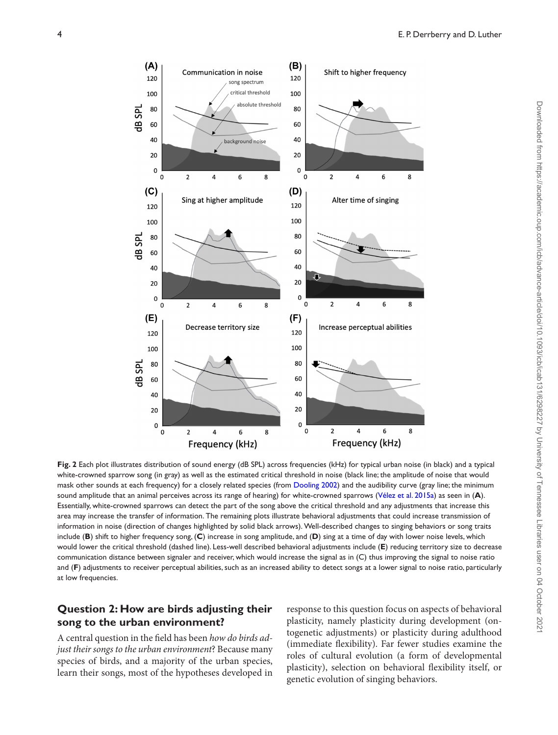<span id="page-3-0"></span>

**Fig. 2** Each plot illustrates distribution of sound energy (dB SPL) across frequencies (kHz) for typical urban noise (in black) and a typical white-crowned sparrow song (in gray) as well as the estimated critical threshold in noise (black line; the amplitude of noise that would mask other sounds at each frequency) for a closely related species (from [Dooling 2002\)](#page-9-18) and the audibility curve (gray line; the minimum sound amplitude that an animal perceives across its range of hearing) for white-crowned sparrows [\(Vélez et al. 2015a\)](#page-11-11) as seen in (**A**). Essentially, white-crowned sparrows can detect the part of the song above the critical threshold and any adjustments that increase this area may increase the transfer of information. The remaining plots illustrate behavioral adjustments that could increase transmission of information in noise (direction of changes highlighted by solid black arrows). Well-described changes to singing behaviors or song traits include (**B**) shift to higher frequency song, (**C**) increase in song amplitude, and (**D**) sing at a time of day with lower noise levels, which would lower the critical threshold (dashed line). Less-well described behavioral adjustments include (**E**) reducing territory size to decrease communication distance between signaler and receiver, which would increase the signal as in (C) thus improving the signal to noise ratio and (**F**) adjustments to receiver perceptual abilities, such as an increased ability to detect songs at a lower signal to noise ratio, particularly at low frequencies.

## **Question 2: How are birds adjusting their song to the urban environment?**

A central question in the field has been *how do birds adjust their songs to the urban environment*? Because many species of birds, and a majority of the urban species, learn their songs, most of the hypotheses developed in response to this question focus on aspects of behavioral plasticity, namely plasticity during development (ontogenetic adjustments) or plasticity during adulthood (immediate flexibility). Far fewer studies examine the roles of cultural evolution (a form of developmental plasticity), selection on behavioral flexibility itself, or genetic evolution of singing behaviors.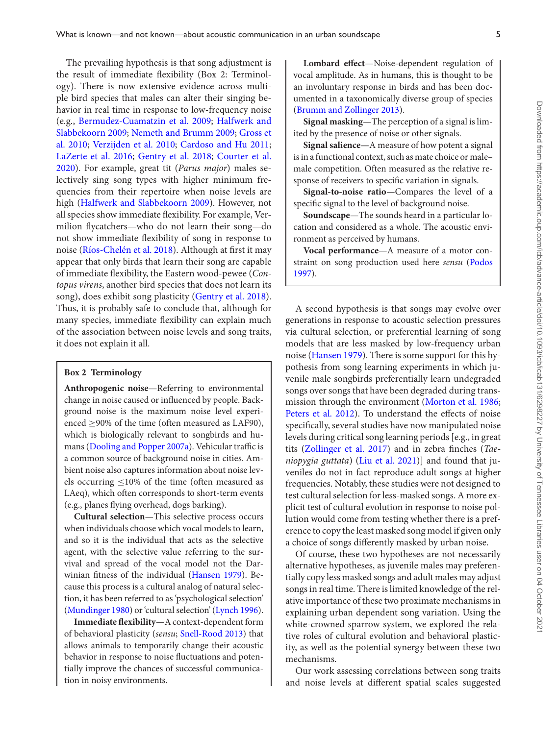The prevailing hypothesis is that song adjustment is the result of immediate flexibility (Box 2: Terminology). There is now extensive evidence across multiple bird species that males can alter their singing behavior in real time in response to low-frequency noise (e.g., [Bermudez-Cuamatzin et al. 2009](#page-9-19)[;](#page-9-16) Halfwerk and Slabbekoorn 2009; [Nemeth and Brumm 2009](#page-10-22)[;](#page-9-20) Gross et al. 2010; [Verzijden et al. 2010;](#page-11-12) [Cardoso and Hu 2011;](#page-9-21) [LaZerte et al. 2016;](#page-10-17) [Gentry et al. 2018;](#page-9-22) Courter et al. [2020\). For example, great tit \(](#page-9-23)*Parus major*) males selectively sing song types with higher minimum frequencies from their repertoire when noise levels are high [\(Halfwerk and Slabbekoorn 2009\)](#page-9-16). However, not all species show immediate flexibility. For example, Vermilion flycatchers—who do not learn their song—do not show immediate flexibility of song in response to noise [\(Ríos-Chelén et al. 2018\)](#page-11-13). Although at first it may appear that only birds that learn their song are capable of immediate flexibility, the Eastern wood-pewee (*Contopus virens*, another bird species that does not learn its song), does exhibit song plasticity [\(Gentry et al. 2018\)](#page-9-22). Thus, it is probably safe to conclude that, although for many species, immediate flexibility can explain much of the association between noise levels and song traits, it does not explain it all.

#### **Box 2 Terminology**

**Anthropogenic noise**—Referring to environmental change in noise caused or influenced by people. Background noise is the maximum noise level experienced  $\geq$ 90% of the time (often measured as LAF90), which is biologically relevant to songbirds and humans [\(Dooling and Popper 2007a\)](#page-9-4). Vehicular traffic is a common source of background noise in cities. Ambient noise also captures information about noise levels occurring  $\leq$ 10% of the time (often measured as LAeq), which often corresponds to short-term events (e.g., planes flying overhead, dogs barking).

**Cultural selection—**This selective process occurs when individuals choose which vocal models to learn, and so it is the individual that acts as the selective agent, with the selective value referring to the survival and spread of the vocal model not the Darwinian fitness of the individual [\(Hansen 1979\)](#page-10-23). Because this process is a cultural analog of natural selection, it has been referred to as 'psychological selection' [\(Mundinger 1980\)](#page-10-24) or 'cultural selection' [\(Lynch 1996\)](#page-10-25).

**Immediate flexibility**—A context-dependent form of behavioral plasticity (*sensu*; [Snell-Rood 2013\)](#page-11-14) that allows animals to temporarily change their acoustic behavior in response to noise fluctuations and potentially improve the chances of successful communication in noisy environments.

**Lombard effect**—Noise-dependent regulation of vocal amplitude. As in humans, this is thought to be an involuntary response in birds and has been documented in a taxonomically diverse group of species [\(Brumm and Zollinger 2013\)](#page-9-14).

**Signal masking**—The perception of a signal is limited by the presence of noise or other signals.

**Signal salience—**A measure of how potent a signal is in a functional context, such as mate choice or male– male competition. Often measured as the relative response of receivers to specific variation in signals.

**Signal-to-noise ratio**—Compares the level of a specific signal to the level of background noise.

**Soundscape**—The sounds heard in a particular location and considered as a whole. The acoustic environment as perceived by humans.

**Vocal performance**—A measure of a motor con[straint on song production used here](#page-10-26) *sensu* (Podos 1997).

A second hypothesis is that songs may evolve over generations in response to acoustic selection pressures via cultural selection, or preferential learning of song models that are less masked by low-frequency urban noise [\(Hansen 1979\)](#page-10-23). There is some support for this hypothesis from song learning experiments in which juvenile male songbirds preferentially learn undegraded songs over songs that have been degraded during transmission through the environment [\(Morton et al. 1986;](#page-10-27) [Peters et al. 2012\)](#page-10-28). To understand the effects of noise specifically, several studies have now manipulated noise levels during critical song learning periods [e.g., in great tits [\(Zollinger et al. 2017\)](#page-11-15) and in zebra finches (*Taeniopygia guttata*) [\(Liu et al. 2021\)](#page-10-11)] and found that juveniles do not in fact reproduce adult songs at higher frequencies. Notably, these studies were not designed to test cultural selection for less-masked songs. A more explicit test of cultural evolution in response to noise pollution would come from testing whether there is a preference to copy the least masked song model if given only a choice of songs differently masked by urban noise.

Of course, these two hypotheses are not necessarily alternative hypotheses, as juvenile males may preferentially copy less masked songs and adult males may adjust songs in real time. There is limited knowledge of the relative importance of these two proximate mechanisms in explaining urban dependent song variation. Using the white-crowned sparrow system, we explored the relative roles of cultural evolution and behavioral plasticity, as well as the potential synergy between these two mechanisms.

Our work assessing correlations between song traits and noise levels at different spatial scales suggested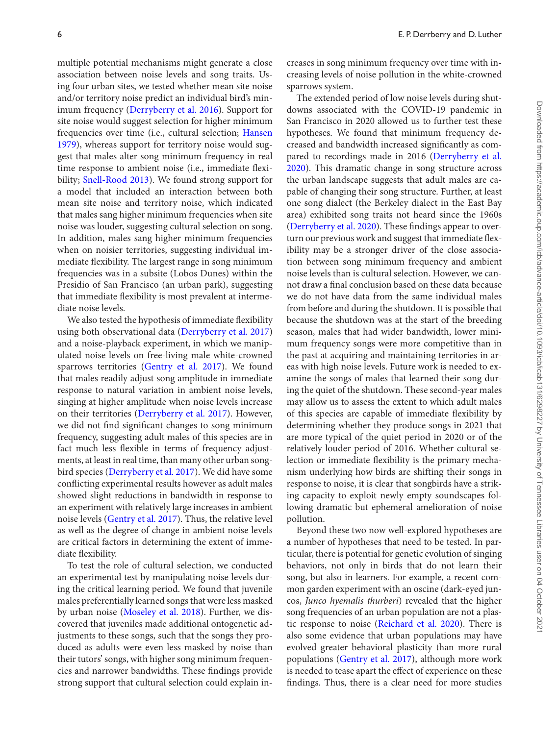multiple potential mechanisms might generate a close association between noise levels and song traits. Using four urban sites, we tested whether mean site noise and/or territory noise predict an individual bird's minimum frequency [\(Derryberry et al. 2016\)](#page-9-24). Support for site noise would suggest selection for higher minimum frequencies over time (i.e., cultural selection; Hansen [1979\), whereas support for territory noise would sug](#page-10-23)gest that males alter song minimum frequency in real time response to ambient noise (i.e., immediate flexi-bility; [Snell-Rood 2013\)](#page-11-14). We found strong support for a model that included an interaction between both mean site noise and territory noise, which indicated that males sang higher minimum frequencies when site noise was louder, suggesting cultural selection on song. In addition, males sang higher minimum frequencies when on noisier territories, suggesting individual immediate flexibility. The largest range in song minimum frequencies was in a subsite (Lobos Dunes) within the Presidio of San Francisco (an urban park), suggesting that immediate flexibility is most prevalent at intermediate noise levels.

We also tested the hypothesis of immediate flexibility using both observational data [\(Derryberry et al. 2017\)](#page-9-17) and a noise-playback experiment, in which we manipulated noise levels on free-living male white-crowned sparrows territories [\(Gentry et al. 2017\)](#page-9-25). We found that males readily adjust song amplitude in immediate response to natural variation in ambient noise levels, singing at higher amplitude when noise levels increase on their territories [\(Derryberry et al. 2017\)](#page-9-17). However, we did not find significant changes to song minimum frequency, suggesting adult males of this species are in fact much less flexible in terms of frequency adjustments, at least in real time, than many other urban songbird species [\(Derryberry et al. 2017\)](#page-9-17). We did have some conflicting experimental results however as adult males showed slight reductions in bandwidth in response to an experiment with relatively large increases in ambient noise levels [\(Gentry et al. 2017\)](#page-9-25). Thus, the relative level as well as the degree of change in ambient noise levels are critical factors in determining the extent of immediate flexibility.

To test the role of cultural selection, we conducted an experimental test by manipulating noise levels during the critical learning period. We found that juvenile males preferentially learned songs that were less masked by urban noise [\(Moseley et al. 2018\)](#page-10-29). Further, we discovered that juveniles made additional ontogenetic adjustments to these songs, such that the songs they produced as adults were even less masked by noise than their tutors' songs, with higher song minimum frequencies and narrower bandwidths. These findings provide strong support that cultural selection could explain increases in song minimum frequency over time with increasing levels of noise pollution in the white-crowned sparrows system.

The extended period of low noise levels during shutdowns associated with the COVID-19 pandemic in San Francisco in 2020 allowed us to further test these hypotheses. We found that minimum frequency decreased and bandwidth increased significantly as com[pared to recordings made in 2016 \(Derryberry et al.](#page-9-11) 2020). This dramatic change in song structure across the urban landscape suggests that adult males are capable of changing their song structure. Further, at least one song dialect (the Berkeley dialect in the East Bay area) exhibited song traits not heard since the 1960s [\(Derryberry et al. 2020\)](#page-9-11). These findings appear to overturn our previous work and suggest that immediate flexibility may be a stronger driver of the close association between song minimum frequency and ambient noise levels than is cultural selection. However, we cannot draw a final conclusion based on these data because we do not have data from the same individual males from before and during the shutdown. It is possible that because the shutdown was at the start of the breeding season, males that had wider bandwidth, lower minimum frequency songs were more competitive than in the past at acquiring and maintaining territories in areas with high noise levels. Future work is needed to examine the songs of males that learned their song during the quiet of the shutdown. These second-year males may allow us to assess the extent to which adult males of this species are capable of immediate flexibility by determining whether they produce songs in 2021 that are more typical of the quiet period in 2020 or of the relatively louder period of 2016. Whether cultural selection or immediate flexibility is the primary mechanism underlying how birds are shifting their songs in response to noise, it is clear that songbirds have a striking capacity to exploit newly empty soundscapes following dramatic but ephemeral amelioration of noise pollution.

Beyond these two now well-explored hypotheses are a number of hypotheses that need to be tested. In particular, there is potential for genetic evolution of singing behaviors, not only in birds that do not learn their song, but also in learners. For example, a recent common garden experiment with an oscine (dark-eyed juncos, *Junco hyemalis thurberi*) revealed that the higher song frequencies of an urban population are not a plastic response to noise [\(Reichard et al. 2020\)](#page-10-10). There is also some evidence that urban populations may have evolved greater behavioral plasticity than more rural populations [\(Gentry et al. 2017\)](#page-9-25), although more work is needed to tease apart the effect of experience on these findings. Thus, there is a clear need for more studies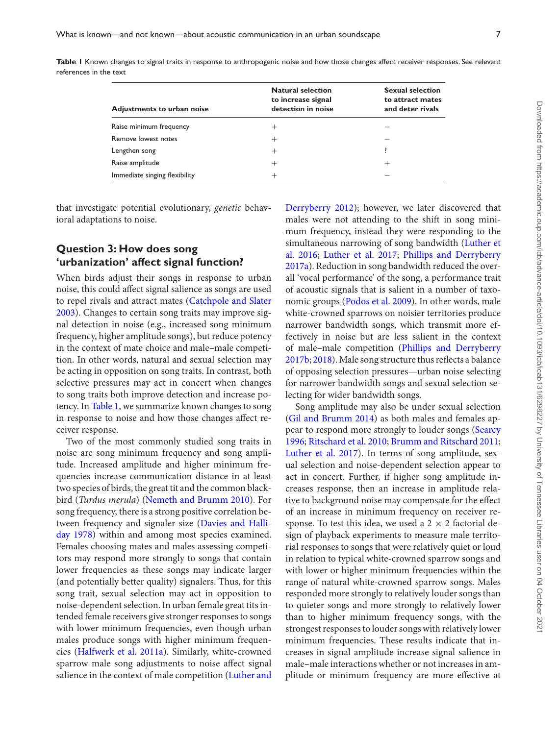| Adjustments to urban noise    | <b>Natural selection</b><br>to increase signal<br>detection in noise | <b>Sexual selection</b><br>to attract mates<br>and deter rivals |
|-------------------------------|----------------------------------------------------------------------|-----------------------------------------------------------------|
| Raise minimum frequency       | $^+$                                                                 |                                                                 |
| Remove lowest notes           | $^+$                                                                 |                                                                 |
| Lengthen song                 | $^+$                                                                 |                                                                 |
| Raise amplitude               | $^+$                                                                 | $\mathrm{+}$                                                    |
| Immediate singing flexibility |                                                                      |                                                                 |

<span id="page-6-0"></span>Table I Known changes to signal traits in response to anthropogenic noise and how those changes affect receiver responses. See relevant references in the text

that investigate potential evolutionary, *genetic* behavioral adaptations to noise.

## **Question 3: How does song 'urbanization' affect signal function?**

When birds adjust their songs in response to urban noise, this could affect signal salience as songs are used to repel rivals and attract mates (Catchpole and Slater [2003\). Changes to certain song traits may improve sig](#page-9-26)nal detection in noise (e.g., increased song minimum frequency, higher amplitude songs), but reduce potency in the context of mate choice and male–male competition. In other words, natural and sexual selection may be acting in opposition on song traits. In contrast, both selective pressures may act in concert when changes to song traits both improve detection and increase potency. In [Table 1,](#page-6-0) we summarize known changes to song in response to noise and how those changes affect receiver response.

Two of the most commonly studied song traits in noise are song minimum frequency and song amplitude. Increased amplitude and higher minimum frequencies increase communication distance in at least two species of birds, the great tit and the common blackbird (*Turdus merula*) [\(Nemeth and Brumm 2010\)](#page-10-9). For song frequency, there is a strong positive correlation be[tween frequency and signaler size \(Davies and Halli](#page-9-27)day 1978) within and among most species examined. Females choosing mates and males assessing competitors may respond more strongly to songs that contain lower frequencies as these songs may indicate larger (and potentially better quality) signalers. Thus, for this song trait, sexual selection may act in opposition to noise-dependent selection. In urban female great tits intended female receivers give stronger responses to songs with lower minimum frequencies, even though urban males produce songs with higher minimum frequencies [\(Halfwerk et al. 2011a\)](#page-9-28). Similarly, white-crowned sparrow male song adjustments to noise affect signal salience in the context of male competition [\(Luther and](#page-10-19)

[Derryberry 2012\)](#page-10-19); however, we later discovered that males were not attending to the shift in song minimum frequency, instead they were responding to the [simultaneous narrowing of song bandwidth \(Luther et](#page-10-30) al. 2016; [Luther et al. 2017;](#page-10-31) Phillips and Derryberry [2017a\). Reduction in song bandwidth reduced the over](#page-10-32)all 'vocal performance' of the song, a performance trait of acoustic signals that is salient in a number of taxonomic groups [\(Podos et al. 2009\)](#page-10-33). In other words, male white-crowned sparrows on noisier territories produce narrower bandwidth songs, which transmit more effectively in noise but are less salient in the context [of male–male competition \(Phillips and Derryberry](#page-10-34) 2017b; [2018\)](#page-10-35). Male song structure thus reflects a balance of opposing selection pressures—urban noise selecting for narrower bandwidth songs and sexual selection selecting for wider bandwidth songs.

Song amplitude may also be under sexual selection [\(Gil and Brumm 2014\)](#page-9-29) as both males and females ap[pear to respond more strongly to louder songs \(Searcy](#page-11-16) 1996; [Ritschard et al. 2010;](#page-11-17) [Brumm and Ritschard 2011;](#page-9-30) [Luther et al. 2017\)](#page-10-31). In terms of song amplitude, sexual selection and noise-dependent selection appear to act in concert. Further, if higher song amplitude increases response, then an increase in amplitude relative to background noise may compensate for the effect of an increase in minimum frequency on receiver response. To test this idea, we used a  $2 \times 2$  factorial design of playback experiments to measure male territorial responses to songs that were relatively quiet or loud in relation to typical white-crowned sparrow songs and with lower or higher minimum frequencies within the range of natural white-crowned sparrow songs. Males responded more strongly to relatively louder songs than to quieter songs and more strongly to relatively lower than to higher minimum frequency songs, with the strongest responses to louder songs with relatively lower minimum frequencies. These results indicate that increases in signal amplitude increase signal salience in male–male interactions whether or not increases in amplitude or minimum frequency are more effective at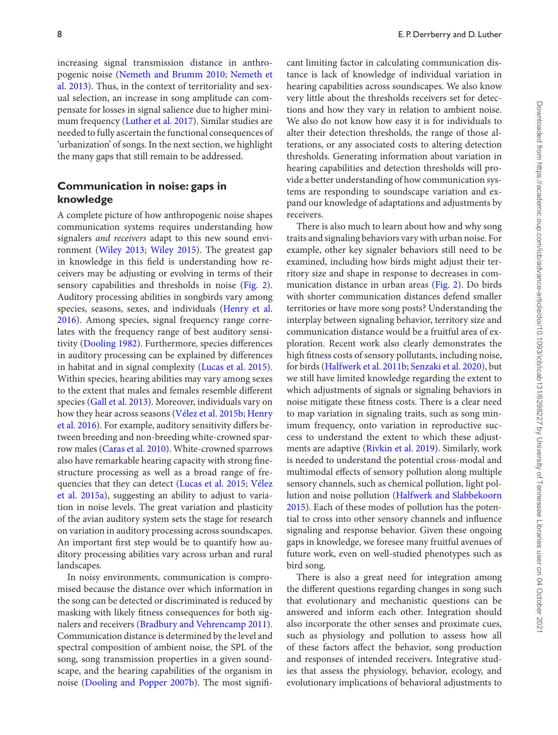increasing signal transmission distance in anthropogenic noise [\(Nemeth and Brumm 2010;](#page-10-9) Nemeth et [al. 2013\). Thus, in the context of territoriality and sex](#page-10-36)ual selection, an increase in song amplitude can compensate for losses in signal salience due to higher minimum frequency [\(Luther et al. 2017\)](#page-10-31). Similar studies are needed to fully ascertain the functional consequences of 'urbanization' of songs. In the next section, we highlight the many gaps that still remain to be addressed.

## **Communication in noise: gaps in knowledge**

A complete picture of how anthropogenic noise shapes communication systems requires understanding how signalers *and receivers* adapt to this new sound environment [\(Wiley 2013;](#page-11-18) [Wiley 2015\)](#page-11-7). The greatest gap in knowledge in this field is understanding how receivers may be adjusting or evolving in terms of their sensory capabilities and thresholds in noise [\(Fig. 2\)](#page-3-0). Auditory processing abilities in songbirds vary among species, seasons, sexes, and individuals (Henry et al. [2016\). Among species, signal frequency range corre](#page-10-37)lates with the frequency range of best auditory sensitivity [\(Dooling 1982\)](#page-9-31). Furthermore, species differences in auditory processing can be explained by differences in habitat and in signal complexity [\(Lucas et al. 2015\)](#page-10-38). Within species, hearing abilities may vary among sexes to the extent that males and females resemble different species [\(Gall et al. 2013\)](#page-9-32). Moreover, individuals vary on how they hear across seasons [\(Vélez et al. 2015b;](#page-11-19) Henry [et al. 2016\). For example, auditory sensitivity differs be](#page-10-37)tween breeding and non-breeding white-crowned sparrow males [\(Caras et al. 2010\)](#page-9-33). White-crowned sparrows also have remarkable hearing capacity with strong finestructure processing as well as a broad range of frequencies that they can detect [\(Lucas et al. 2015;](#page-10-38) Vélez [et al. 2015a\), suggesting an ability to adjust to varia](#page-11-11)tion in noise levels. The great variation and plasticity of the avian auditory system sets the stage for research on variation in auditory processing across soundscapes. An important first step would be to quantify how auditory processing abilities vary across urban and rural landscapes.

In noisy environments, communication is compromised because the distance over which information in the song can be detected or discriminated is reduced by masking with likely fitness consequences for both signalers and receivers [\(Bradbury and Vehrencamp 2011\)](#page-9-6). Communication distance is determined by the level and spectral composition of ambient noise, the SPL of the song, song transmission properties in a given soundscape, and the hearing capabilities of the organism in noise [\(Dooling and Popper 2007b\)](#page-9-34). The most significant limiting factor in calculating communication distance is lack of knowledge of individual variation in hearing capabilities across soundscapes. We also know very little about the thresholds receivers set for detections and how they vary in relation to ambient noise. We also do not know how easy it is for individuals to alter their detection thresholds, the range of those alterations, or any associated costs to altering detection thresholds. Generating information about variation in hearing capabilities and detection thresholds will provide a better understanding of how communication systems are responding to soundscape variation and expand our knowledge of adaptations and adjustments by receivers.

There is also much to learn about how and why song traits and signaling behaviors vary with urban noise. For example, other key signaler behaviors still need to be examined, including how birds might adjust their territory size and shape in response to decreases in communication distance in urban areas [\(Fig. 2\)](#page-3-0). Do birds with shorter communication distances defend smaller territories or have more song posts? Understanding the interplay between signaling behavior, territory size and communication distance would be a fruitful area of exploration. Recent work also clearly demonstrates the high fitness costs of sensory pollutants, including noise, for birds [\(Halfwerk et al. 2011b;](#page-9-35) [Senzaki et al. 2020\)](#page-11-20), but we still have limited knowledge regarding the extent to which adjustments of signals or signaling behaviors in noise mitigate these fitness costs. There is a clear need to map variation in signaling traits, such as song minimum frequency, onto variation in reproductive success to understand the extent to which these adjustments are adaptive [\(Rivkin et al. 2019\)](#page-11-3). Similarly, work is needed to understand the potential cross-modal and multimodal effects of sensory pollution along multiple sensory channels, such as chemical pollution, light pollution and noise pollution (Halfwerk and Slabbekoorn [2015\). Each of these modes of pollution has the poten](#page-9-5)tial to cross into other sensory channels and influence signaling and response behavior. Given these ongoing gaps in knowledge, we foresee many fruitful avenues of future work, even on well-studied phenotypes such as bird song.

There is also a great need for integration among the different questions regarding changes in song such that evolutionary and mechanistic questions can be answered and inform each other. Integration should also incorporate the other senses and proximate cues, such as physiology and pollution to assess how all of these factors affect the behavior, song production and responses of intended receivers. Integrative studies that assess the physiology, behavior, ecology, and evolutionary implications of behavioral adjustments to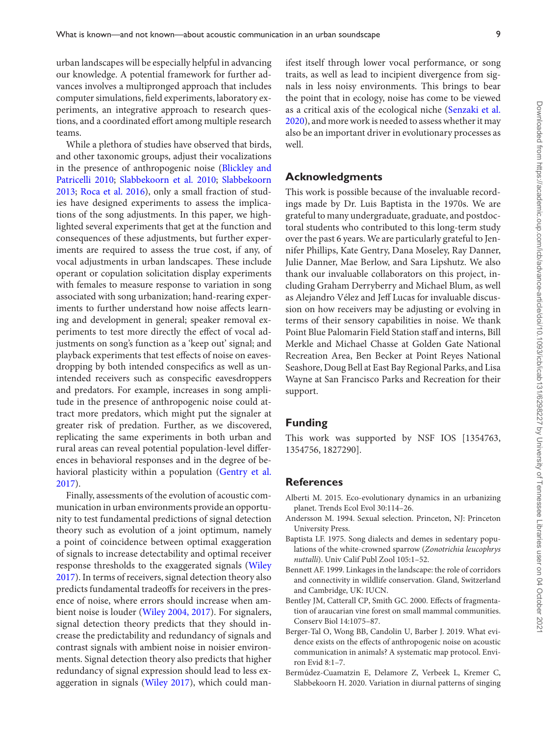urban landscapes will be especially helpful in advancing our knowledge. A potential framework for further advances involves a multipronged approach that includes computer simulations, field experiments, laboratory experiments, an integrative approach to research questions, and a coordinated effort among multiple research teams.

While a plethora of studies have observed that birds, and other taxonomic groups, adjust their vocalizations [in the presence of anthropogenic noise \(Blickley and](#page-9-36) Patricelli 2010; [Slabbekoorn et al. 2010;](#page-11-21) Slabbekoorn 2013; [Roca et al. 2016\), only a small fraction of stud](#page-11-8)ies have designed experiments to assess the implications of the song adjustments. In this paper, we highlighted several experiments that get at the function and consequences of these adjustments, but further experiments are required to assess the true cost, if any, of vocal adjustments in urban landscapes. These include operant or copulation solicitation display experiments with females to measure response to variation in song associated with song urbanization; hand-rearing experiments to further understand how noise affects learning and development in general; speaker removal experiments to test more directly the effect of vocal adjustments on song's function as a 'keep out' signal; and playback experiments that test effects of noise on eavesdropping by both intended conspecifics as well as unintended receivers such as conspecific eavesdroppers and predators. For example, increases in song amplitude in the presence of anthropogenic noise could attract more predators, which might put the signaler at greater risk of predation. Further, as we discovered, replicating the same experiments in both urban and rural areas can reveal potential population-level differences in behavioral responses and in the degree of be[havioral plasticity within a population \(Gentry et al.](#page-9-25) 2017).

Finally, assessments of the evolution of acoustic communication in urban environments provide an opportunity to test fundamental predictions of signal detection theory such as evolution of a joint optimum, namely a point of coincidence between optimal exaggeration of signals to increase detectability and optimal receiver response thresholds to the exaggerated signals (Wiley [2017\). In terms of receivers, signal detection theory also](#page-11-23) predicts fundamental tradeoffs for receivers in the presence of noise, where errors should increase when ambient noise is louder [\(Wiley 2004, 2017\)](#page-11-23). For signalers, signal detection theory predicts that they should increase the predictability and redundancy of signals and contrast signals with ambient noise in noisier environments. Signal detection theory also predicts that higher redundancy of signal expression should lead to less exaggeration in signals [\(Wiley 2017\)](#page-11-23), which could manifest itself through lower vocal performance, or song traits, as well as lead to incipient divergence from signals in less noisy environments. This brings to bear the point that in ecology, noise has come to be viewed as a critical axis of the ecological niche (Senzaki et al. [2020\), and more work is needed to assess whether it may](#page-11-20) also be an important driver in evolutionary processes as well.

#### **Acknowledgments**

This work is possible because of the invaluable recordings made by Dr. Luis Baptista in the 1970s. We are grateful to many undergraduate, graduate, and postdoctoral students who contributed to this long-term study over the past 6 years. We are particularly grateful to Jennifer Phillips, Kate Gentry, Dana Moseley, Ray Danner, Julie Danner, Mae Berlow, and Sara Lipshutz. We also thank our invaluable collaborators on this project, including Graham Derryberry and Michael Blum, as well as Alejandro Vélez and Jeff Lucas for invaluable discussion on how receivers may be adjusting or evolving in terms of their sensory capabilities in noise. We thank Point Blue Palomarin Field Station staff and interns, Bill Merkle and Michael Chasse at Golden Gate National Recreation Area, Ben Becker at Point Reyes National Seashore, Doug Bell at East Bay Regional Parks, and Lisa Wayne at San Francisco Parks and Recreation for their support.

#### **Funding**

This work was supported by NSF IOS [1354763, 1354756, 1827290].

#### **References**

- <span id="page-8-1"></span>Alberti M. 2015. Eco-evolutionary dynamics in an urbanizing planet. Trends Ecol Evol 30:114–26.
- <span id="page-8-3"></span>Andersson M. 1994. Sexual selection. Princeton, NJ: Princeton University Press.
- <span id="page-8-5"></span>Baptista LF. 1975. Song dialects and demes in sedentary populations of the white-crowned sparrow (*Zonotrichia leucophrys nuttalli*). Univ Calif Publ Zool 105:1–52.
- <span id="page-8-0"></span>Bennett AF. 1999. Linkages in the landscape: the role of corridors and connectivity in wildlife conservation. Gland, Switzerland and Cambridge, UK: IUCN.
- <span id="page-8-2"></span>Bentley JM, Catterall CP, Smith GC. 2000. Effects of fragmentation of araucarian vine forest on small mammal communities. Conserv Biol 14:1075–87.
- <span id="page-8-4"></span>Berger-Tal O, Wong BB, Candolin U, Barber J. 2019. What evidence exists on the effects of anthropogenic noise on acoustic communication in animals? A systematic map protocol. Environ Evid 8:1–7.
- <span id="page-8-6"></span>Bermúdez-Cuamatzin E, Delamore Z, Verbeek L, Kremer C, Slabbekoorn H. 2020. Variation in diurnal patterns of singing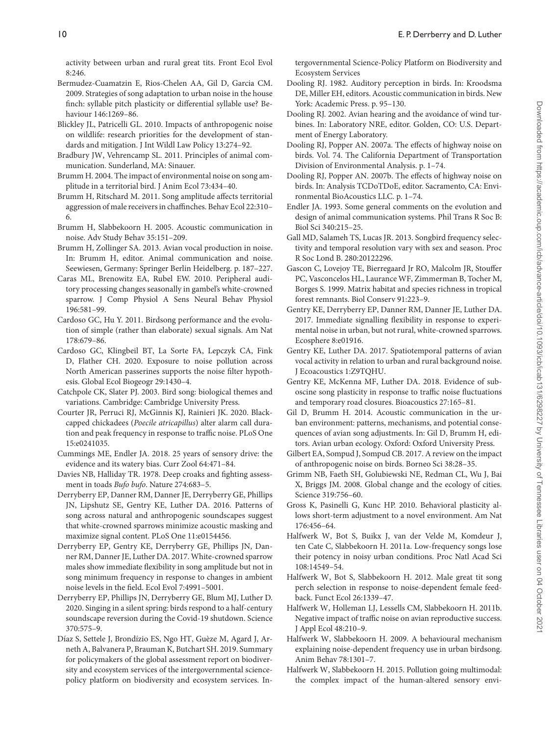activity between urban and rural great tits. Front Ecol Evol 8:246.

- <span id="page-9-19"></span>Bermudez-Cuamatzin E, Rios-Chelen AA, Gil D, Garcia CM. 2009. Strategies of song adaptation to urban noise in the house finch: syllable pitch plasticity or differential syllable use? Behaviour 146:1269–86.
- <span id="page-9-36"></span>Blickley JL, Patricelli GL. 2010. Impacts of anthropogenic noise on wildlife: research priorities for the development of standards and mitigation. J Int Wildl Law Policy 13:274–92.
- <span id="page-9-6"></span>Bradbury JW, Vehrencamp SL. 2011. Principles of animal communication. Sunderland, MA: Sinauer.
- <span id="page-9-3"></span>Brumm H. 2004. The impact of environmental noise on song amplitude in a territorial bird. J Anim Ecol 73:434–40.
- <span id="page-9-30"></span>Brumm H, Ritschard M. 2011. Song amplitude affects territorial aggression of male receivers in chaffinches. Behav Ecol 22:310– 6.
- <span id="page-9-9"></span>Brumm H, Slabbekoorn H. 2005. Acoustic communication in noise. Adv Study Behav 35:151–209.
- <span id="page-9-14"></span>Brumm H, Zollinger SA. 2013. Avian vocal production in noise. In: Brumm H, editor. Animal communication and noise. Seewiesen, Germany: Springer Berlin Heidelberg. p. 187–227.
- <span id="page-9-33"></span>Caras ML, Brenowitz EA, Rubel EW. 2010. Peripheral auditory processing changes seasonally in gambel's white-crowned sparrow. J Comp Physiol A Sens Neural Behav Physiol 196:581–99.
- <span id="page-9-21"></span>Cardoso GC, Hu Y. 2011. Birdsong performance and the evolution of simple (rather than elaborate) sexual signals. Am Nat 178:679–86.
- <span id="page-9-12"></span>Cardoso GC, Klingbeil BT, La Sorte FA, Lepczyk CA, Fink D, Flather CH. 2020. Exposure to noise pollution across North American passerines supports the noise filter hypothesis. Global Ecol Biogeogr 29:1430–4.
- <span id="page-9-26"></span>Catchpole CK, Slater PJ. 2003. Bird song: biological themes and variations. Cambridge: Cambridge University Press.
- <span id="page-9-23"></span>Courter JR, Perruci RJ, McGinnis KJ, Rainieri JK. 2020. Blackcapped chickadees (*Poecile atricapillus*) alter alarm call duration and peak frequency in response to traffic noise. PLoS One 15:e0241035.
- <span id="page-9-8"></span>Cummings ME, Endler JA. 2018. 25 years of sensory drive: the evidence and its watery bias. Curr Zool 64:471–84.
- <span id="page-9-27"></span>Davies NB, Halliday TR. 1978. Deep croaks and fighting assessment in toads *Bufo bufo*. Nature 274:683–5.
- <span id="page-9-24"></span>Derryberry EP, Danner RM, Danner JE, Derryberry GE, Phillips JN, Lipshutz SE, Gentry KE, Luther DA. 2016. Patterns of song across natural and anthropogenic soundscapes suggest that white-crowned sparrows minimize acoustic masking and maximize signal content. PLoS One 11:e0154456.
- <span id="page-9-17"></span>Derryberry EP, Gentry KE, Derryberry GE, Phillips JN, Danner RM, Danner JE, Luther DA. 2017. White-crowned sparrow males show immediate flexibility in song amplitude but not in song minimum frequency in response to changes in ambient noise levels in the field. Ecol Evol 7:4991–5001.
- <span id="page-9-11"></span>Derryberry EP, Phillips JN, Derryberry GE, Blum MJ, Luther D. 2020. Singing in a silent spring: birds respond to a half-century soundscape reversion during the Covid-19 shutdown. Science 370:575–9.
- <span id="page-9-0"></span>Díaz S, Settele J, Brondízio ES, Ngo HT, Guèze M, Agard J, Arneth A, Balvanera P, Brauman K, Butchart SH. 2019. Summary for policymakers of the global assessment report on biodiversity and ecosystem services of the intergovernmental sciencepolicy platform on biodiversity and ecosystem services. In-

tergovernmental Science-Policy Platform on Biodiversity and Ecosystem Services

- <span id="page-9-31"></span>Dooling RJ. 1982. Auditory perception in birds. In: Kroodsma DE, Miller EH, editors. Acoustic communication in birds. New York: Academic Press. p. 95–130.
- <span id="page-9-18"></span>Dooling RJ. 2002. Avian hearing and the avoidance of wind turbines. In: Laboratory NRE, editor. Golden, CO: U.S. Department of Energy Laboratory.
- <span id="page-9-4"></span>Dooling RJ, Popper AN. 2007a. The effects of highway noise on birds. Vol. 74. The California Department of Transportation Division of Environmental Analysis. p. 1–74.
- <span id="page-9-34"></span>Dooling RJ, Popper AN. 2007b. The effects of highway noise on birds. In: Analysis TCDoTDoE, editor. Sacramento, CA: Environmental BioAcoustics LLC. p. 1–74.
- <span id="page-9-7"></span>Endler JA. 1993. Some general comments on the evolution and design of animal communication systems. Phil Trans R Soc B: Biol Sci 340:215–25.
- <span id="page-9-32"></span>Gall MD, Salameh TS, Lucas JR. 2013. Songbird frequency selectivity and temporal resolution vary with sex and season. Proc R Soc Lond B. 280:20122296.
- <span id="page-9-2"></span>Gascon C, Lovejoy TE, Bierregaard Jr RO, Malcolm JR, Stouffer PC, Vasconcelos HL, Laurance WF, Zimmerman B, Tocher M, Borges S. 1999. Matrix habitat and species richness in tropical forest remnants. Biol Conserv 91:223–9.
- <span id="page-9-25"></span>Gentry KE, Derryberry EP, Danner RM, Danner JE, Luther DA. 2017. Immediate signalling flexibility in response to experimental noise in urban, but not rural, white-crowned sparrows. Ecosphere 8:e01916.
- <span id="page-9-13"></span>Gentry KE, Luther DA. 2017. Spatiotemporal patterns of avian vocal activity in relation to urban and rural background noise. J Ecoacoustics 1:Z9TQHU.
- <span id="page-9-22"></span>Gentry KE, McKenna MF, Luther DA. 2018. Evidence of suboscine song plasticity in response to traffic noise fluctuations and temporary road closures. Bioacoustics 27:165–81.
- <span id="page-9-29"></span>Gil D, Brumm H. 2014. Acoustic communication in the urban environment: patterns, mechanisms, and potential consequences of avian song adjustments. In: Gil D, Brumm H, editors. Avian urban ecology. Oxford: Oxford University Press.
- <span id="page-9-10"></span>Gilbert EA, Sompud J, Sompud CB. 2017. A review on the impact of anthropogenic noise on birds. Borneo Sci 38:28–35.
- <span id="page-9-1"></span>Grimm NB, Faeth SH, Golubiewski NE, Redman CL, Wu J, Bai X, Briggs JM. 2008. Global change and the ecology of cities. Science 319:756–60.
- <span id="page-9-20"></span>Gross K, Pasinelli G, Kunc HP. 2010. Behavioral plasticity allows short-term adjustment to a novel environment. Am Nat 176:456–64.
- <span id="page-9-28"></span>Halfwerk W, Bot S, Buikx J, van der Velde M, Komdeur J, ten Cate C, Slabbekoorn H. 2011a. Low-frequency songs lose their potency in noisy urban conditions. Proc Natl Acad Sci 108:14549–54.
- <span id="page-9-15"></span>Halfwerk W, Bot S, Slabbekoorn H. 2012. Male great tit song perch selection in response to noise-dependent female feedback. Funct Ecol 26:1339–47.
- <span id="page-9-35"></span>Halfwerk W, Holleman LJ, Lessells CM, Slabbekoorn H. 2011b. Negative impact of traffic noise on avian reproductive success. J Appl Ecol 48:210–9.
- <span id="page-9-16"></span>Halfwerk W, Slabbekoorn H. 2009. A behavioural mechanism explaining noise-dependent frequency use in urban birdsong. Anim Behav 78:1301–7.
- <span id="page-9-5"></span>Halfwerk W, Slabbekoorn H. 2015. Pollution going multimodal: the complex impact of the human-altered sensory envi-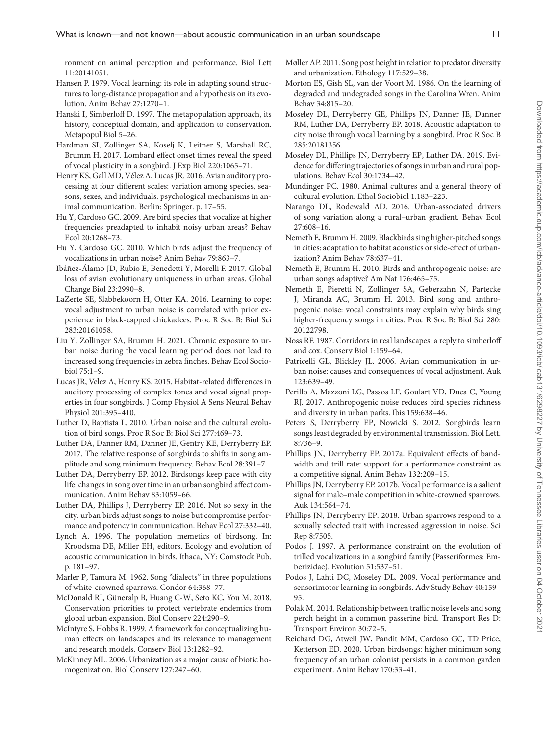ronment on animal perception and performance. Biol Lett 11:20141051.

- <span id="page-10-23"></span>Hansen P. 1979. Vocal learning: its role in adapting sound structures to long-distance propagation and a hypothesis on its evolution. Anim Behav 27:1270–1.
- <span id="page-10-2"></span>Hanski I, Simberloff D. 1997. The metapopulation approach, its history, conceptual domain, and application to conservation. Metapopul Biol 5–26.
- <span id="page-10-14"></span>Hardman SI, Zollinger SA, Koselj K, Leitner S, Marshall RC, Brumm H. 2017. Lombard effect onset times reveal the speed of vocal plasticity in a songbird. J Exp Biol 220:1065–71.
- <span id="page-10-37"></span>Henry KS, Gall MD, Vélez A, Lucas JR. 2016. Avian auditory processing at four different scales: variation among species, seasons, sexes, and individuals. psychological mechanisms in animal communication. Berlin: Springer. p. 17–55.
- <span id="page-10-12"></span>Hu Y, Cardoso GC. 2009. Are bird species that vocalize at higher frequencies preadapted to inhabit noisy urban areas? Behav Ecol 20:1268–73.
- <span id="page-10-8"></span>Hu Y, Cardoso GC. 2010. Which birds adjust the frequency of vocalizations in urban noise? Anim Behav 79:863–7.
- <span id="page-10-4"></span>Ibáñez-Álamo JD, Rubio E, Benedetti Y, Morelli F. 2017. Global loss of avian evolutionary uniqueness in urban areas. Global Change Biol 23:2990–8.
- <span id="page-10-17"></span>LaZerte SE, Slabbekoorn H, Otter KA. 2016. Learning to cope: vocal adjustment to urban noise is correlated with prior experience in black-capped chickadees. Proc R Soc B: Biol Sci 283:20161058.
- <span id="page-10-11"></span>Liu Y, Zollinger SA, Brumm H. 2021. Chronic exposure to urban noise during the vocal learning period does not lead to increased song frequencies in zebra finches. Behav Ecol Sociobiol 75:1–9.
- <span id="page-10-38"></span>Lucas JR, Velez A, Henry KS. 2015. Habitat-related differences in auditory processing of complex tones and vocal signal properties in four songbirds. J Comp Physiol A Sens Neural Behav Physiol 201:395–410.
- <span id="page-10-18"></span>Luther D, Baptista L. 2010. Urban noise and the cultural evolution of bird songs. Proc R Soc B: Biol Sci 277:469–73.
- <span id="page-10-31"></span>Luther DA, Danner RM, Danner JE, Gentry KE, Derryberry EP. 2017. The relative response of songbirds to shifts in song amplitude and song minimum frequency. Behav Ecol 28:391–7.
- <span id="page-10-19"></span>Luther DA, Derryberry EP. 2012. Birdsongs keep pace with city life: changes in song over time in an urban songbird affect communication. Anim Behav 83:1059–66.
- <span id="page-10-30"></span>Luther DA, Phillips J, Derryberry EP. 2016. Not so sexy in the city: urban birds adjust songs to noise but compromise performance and potency in communication. Behav Ecol 27:332–40.
- <span id="page-10-25"></span>Lynch A. 1996. The population memetics of birdsong. In: Kroodsma DE, Miller EH, editors. Ecology and evolution of acoustic communication in birds. Ithaca, NY: Comstock Pub. p. 181–97.
- <span id="page-10-21"></span>Marler P, Tamura M. 1962. Song "dialects" in three populations of white-crowned sparrows. Condor 64:368–77.
- <span id="page-10-1"></span>McDonald RI, Güneralp B, Huang C-W, Seto KC, You M. 2018. Conservation priorities to protect vertebrate endemics from global urban expansion. Biol Conserv 224:290–9.
- <span id="page-10-3"></span>McIntyre S, Hobbs R. 1999. A framework for conceptualizing human effects on landscapes and its relevance to management and research models. Conserv Biol 13:1282–92.
- <span id="page-10-6"></span>McKinney ML. 2006. Urbanization as a major cause of biotic homogenization. Biol Conserv 127:247–60.
- <span id="page-10-15"></span>Møller AP. 2011. Song post height in relation to predator diversity and urbanization. Ethology 117:529–38.
- <span id="page-10-27"></span>Morton ES, Gish SL, van der Voort M. 1986. On the learning of degraded and undegraded songs in the Carolina Wren. Anim Behav 34:815–20.
- <span id="page-10-29"></span>Moseley DL, Derryberry GE, Phillips JN, Danner JE, Danner RM, Luther DA, Derryberry EP. 2018. Acoustic adaptation to city noise through vocal learning by a songbird. Proc R Soc B 285:20181356.
- <span id="page-10-20"></span>Moseley DL, Phillips JN, Derryberry EP, Luther DA. 2019. Evidence for differing trajectories of songs in urban and rural populations. Behav Ecol 30:1734–42.
- <span id="page-10-24"></span>Mundinger PC. 1980. Animal cultures and a general theory of cultural evolution. Ethol Sociobiol 1:183–223.
- <span id="page-10-13"></span>Narango DL, Rodewald AD. 2016. Urban-associated drivers of song variation along a rural–urban gradient. Behav Ecol 27:608–16.
- <span id="page-10-22"></span>Nemeth E, Brumm H. 2009. Blackbirds sing higher-pitched songs in cities: adaptation to habitat acoustics or side-effect of urbanization? Anim Behav 78:637–41.
- <span id="page-10-9"></span>Nemeth E, Brumm H. 2010. Birds and anthropogenic noise: are urban songs adaptive? Am Nat 176:465–75.
- <span id="page-10-36"></span>Nemeth E, Pieretti N, Zollinger SA, Geberzahn N, Partecke J, Miranda AC, Brumm H. 2013. Bird song and anthropogenic noise: vocal constraints may explain why birds sing higher-frequency songs in cities. Proc R Soc B: Biol Sci 280: 20122798.
- <span id="page-10-0"></span>Noss RF. 1987. Corridors in real landscapes: a reply to simberloff and cox. Conserv Biol 1:159–64.
- <span id="page-10-7"></span>Patricelli GL, Blickley JL. 2006. Avian communication in urban noise: causes and consequences of vocal adjustment. Auk 123:639–49.
- <span id="page-10-5"></span>Perillo A, Mazzoni LG, Passos LF, Goulart VD, Duca C, Young RJ. 2017. Anthropogenic noise reduces bird species richness and diversity in urban parks. Ibis 159:638–46.
- <span id="page-10-28"></span>Peters S, Derryberry EP, Nowicki S. 2012. Songbirds learn songs least degraded by environmental transmission. Biol Lett. 8:736–9.
- <span id="page-10-32"></span>Phillips JN, Derryberry EP. 2017a. Equivalent effects of bandwidth and trill rate: support for a performance constraint as a competitive signal. Anim Behav 132:209–15.
- <span id="page-10-34"></span>Phillips JN, Derryberry EP. 2017b. Vocal performance is a salient signal for male–male competition in white-crowned sparrows. Auk 134:564–74.
- <span id="page-10-35"></span>Phillips JN, Derryberry EP. 2018. Urban sparrows respond to a sexually selected trait with increased aggression in noise. Sci Rep 8:7505.
- <span id="page-10-26"></span>Podos J. 1997. A performance constraint on the evolution of trilled vocalizations in a songbird family (Passeriformes: Emberizidae). Evolution 51:537–51.
- <span id="page-10-33"></span>Podos J, Lahti DC, Moseley DL. 2009. Vocal performance and sensorimotor learning in songbirds. Adv Study Behav 40:159– 95.
- <span id="page-10-16"></span>Polak M. 2014. Relationship between traffic noise levels and song perch height in a common passerine bird. Transport Res D: Transport Environ 30:72–5.
- <span id="page-10-10"></span>Reichard DG, Atwell JW, Pandit MM, Cardoso GC, TD Price, Ketterson ED. 2020. Urban birdsongs: higher minimum song frequency of an urban colonist persists in a common garden experiment. Anim Behav 170:33–41.